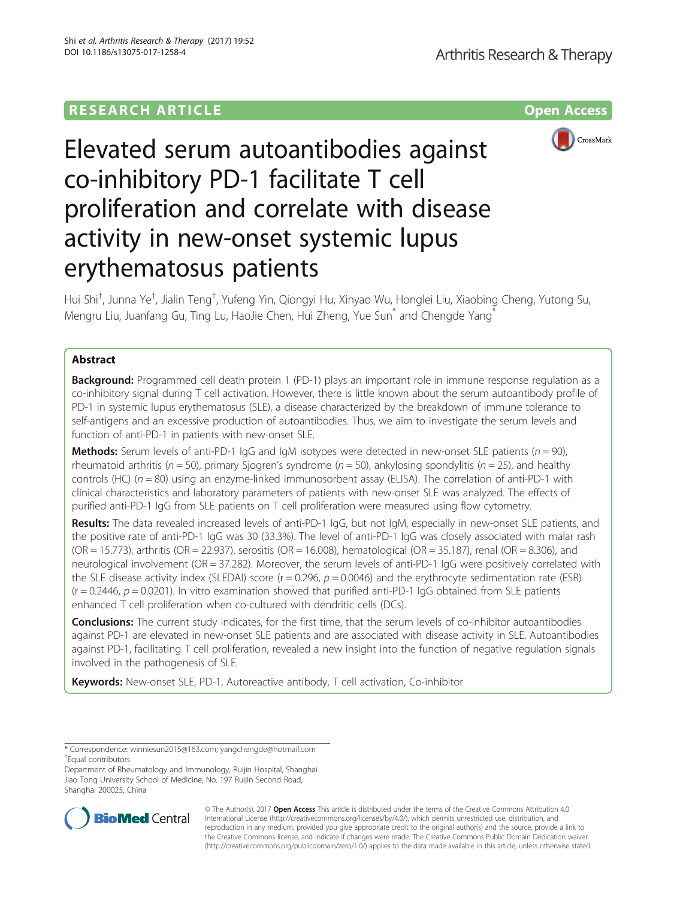## **RESEARCH ARTICLE Example 2014 CONSUMING A RESEARCH ARTICLE**



# Elevated serum autoantibodies against co-inhibitory PD-1 facilitate T cell proliferation and correlate with disease activity in new-onset systemic lupus erythematosus patients

Hui Shi<sup>†</sup>, Junna Ye<sup>†</sup>, Jialin Teng<sup>†</sup>, Yufeng Yin, Qiongyi Hu, Xinyao Wu, Honglei Liu, Xiaobing Cheng, Yutong Su, Mengru Liu, Juanfang Gu, Ting Lu, HaoJie Chen, Hui Zheng, Yue Sun<sup>\*</sup> and Chengde Yang<sup>\*</sup>

## Abstract

**Background:** Programmed cell death protein 1 (PD-1) plays an important role in immune response regulation as a co-inhibitory signal during T cell activation. However, there is little known about the serum autoantibody profile of PD-1 in systemic lupus erythematosus (SLE), a disease characterized by the breakdown of immune tolerance to self-antigens and an excessive production of autoantibodies. Thus, we aim to investigate the serum levels and function of anti-PD-1 in patients with new-onset SLE.

**Methods:** Serum levels of anti-PD-1 IgG and IgM isotypes were detected in new-onset SLE patients ( $n = 90$ ), rheumatoid arthritis ( $n = 50$ ), primary Sjogren's syndrome ( $n = 50$ ), ankylosing spondylitis ( $n = 25$ ), and healthy controls (HC) ( $n = 80$ ) using an enzyme-linked immunosorbent assay (ELISA). The correlation of anti-PD-1 with clinical characteristics and laboratory parameters of patients with new-onset SLE was analyzed. The effects of purified anti-PD-1 IgG from SLE patients on T cell proliferation were measured using flow cytometry.

Results: The data revealed increased levels of anti-PD-1 IgG, but not IgM, especially in new-onset SLE patients, and the positive rate of anti-PD-1 IgG was 30 (33.3%). The level of anti-PD-1 IgG was closely associated with malar rash ( $OR = 15.773$ ), arthritis ( $OR = 22.937$ ), serositis ( $OR = 16.008$ ), hematological ( $OR = 35.187$ ), renal ( $OR = 8.306$ ), and neurological involvement (OR = 37.282). Moreover, the serum levels of anti-PD-1 IgG were positively correlated with the SLE disease activity index (SLEDAI) score ( $r = 0.296$ ,  $p = 0.0046$ ) and the erythrocyte sedimentation rate (ESR)  $(r = 0.2446, p = 0.0201)$ . In vitro examination showed that purified anti-PD-1 IgG obtained from SLE patients enhanced T cell proliferation when co-cultured with dendritic cells (DCs).

**Conclusions:** The current study indicates, for the first time, that the serum levels of co-inhibitor autoantibodies against PD-1 are elevated in new-onset SLE patients and are associated with disease activity in SLE. Autoantibodies against PD-1, facilitating T cell proliferation, revealed a new insight into the function of negative regulation signals involved in the pathogenesis of SLE.

Keywords: New-onset SLE, PD-1, Autoreactive antibody, T cell activation, Co-inhibitor

Equal contributors

Department of Rheumatology and Immunology, Ruijin Hospital, Shanghai Jiao Tong University School of Medicine, No. 197 Ruijin Second Road, Shanghai 200025, China



© The Author(s). 2017 **Open Access** This article is distributed under the terms of the Creative Commons Attribution 4.0 International License [\(http://creativecommons.org/licenses/by/4.0/](http://creativecommons.org/licenses/by/4.0/)), which permits unrestricted use, distribution, and reproduction in any medium, provided you give appropriate credit to the original author(s) and the source, provide a link to the Creative Commons license, and indicate if changes were made. The Creative Commons Public Domain Dedication waiver [\(http://creativecommons.org/publicdomain/zero/1.0/](http://creativecommons.org/publicdomain/zero/1.0/)) applies to the data made available in this article, unless otherwise stated.

<sup>\*</sup> Correspondence: [winniesun2015@163.com](mailto:winniesun2015@163.com); [yangchengde@hotmail.com](mailto:yangchengde@hotmail.com) †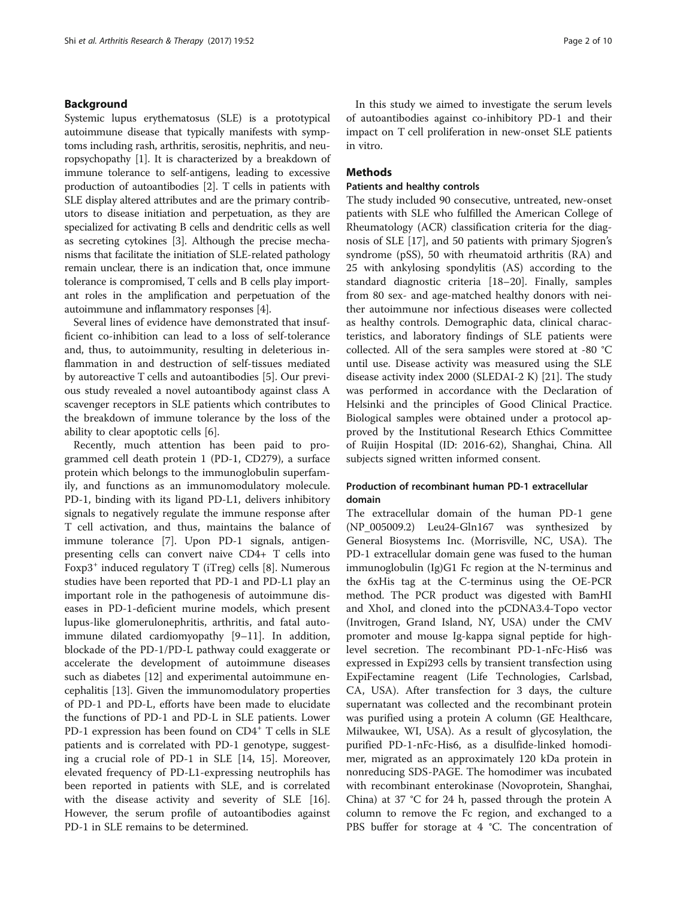### <span id="page-1-0"></span>Background

Systemic lupus erythematosus (SLE) is a prototypical autoimmune disease that typically manifests with symptoms including rash, arthritis, serositis, nephritis, and neuropsychopathy [\[1\]](#page-8-0). It is characterized by a breakdown of immune tolerance to self-antigens, leading to excessive production of autoantibodies [[2\]](#page-8-0). T cells in patients with SLE display altered attributes and are the primary contributors to disease initiation and perpetuation, as they are specialized for activating B cells and dendritic cells as well as secreting cytokines [\[3](#page-8-0)]. Although the precise mechanisms that facilitate the initiation of SLE-related pathology remain unclear, there is an indication that, once immune tolerance is compromised, T cells and B cells play important roles in the amplification and perpetuation of the autoimmune and inflammatory responses [[4\]](#page-8-0).

Several lines of evidence have demonstrated that insufficient co-inhibition can lead to a loss of self-tolerance and, thus, to autoimmunity, resulting in deleterious inflammation in and destruction of self-tissues mediated by autoreactive T cells and autoantibodies [[5\]](#page-8-0). Our previous study revealed a novel autoantibody against class A scavenger receptors in SLE patients which contributes to the breakdown of immune tolerance by the loss of the ability to clear apoptotic cells [\[6\]](#page-8-0).

Recently, much attention has been paid to programmed cell death protein 1 (PD-1, CD279), a surface protein which belongs to the immunoglobulin superfamily, and functions as an immunomodulatory molecule. PD-1, binding with its ligand PD-L1, delivers inhibitory signals to negatively regulate the immune response after T cell activation, and thus, maintains the balance of immune tolerance [\[7](#page-8-0)]. Upon PD-1 signals, antigenpresenting cells can convert naive CD4+ T cells into Foxp3<sup>+</sup> induced regulatory T (iTreg) cells [\[8\]](#page-8-0). Numerous studies have been reported that PD-1 and PD-L1 play an important role in the pathogenesis of autoimmune diseases in PD-1-deficient murine models, which present lupus-like glomerulonephritis, arthritis, and fatal autoimmune dilated cardiomyopathy [[9](#page-8-0)–[11\]](#page-8-0). In addition, blockade of the PD-1/PD-L pathway could exaggerate or accelerate the development of autoimmune diseases such as diabetes [\[12](#page-8-0)] and experimental autoimmune encephalitis [[13](#page-8-0)]. Given the immunomodulatory properties of PD-1 and PD-L, efforts have been made to elucidate the functions of PD-1 and PD-L in SLE patients. Lower PD-1 expression has been found on CD4<sup>+</sup> T cells in SLE patients and is correlated with PD-1 genotype, suggesting a crucial role of PD-1 in SLE [\[14](#page-8-0), [15\]](#page-8-0). Moreover, elevated frequency of PD-L1-expressing neutrophils has been reported in patients with SLE, and is correlated with the disease activity and severity of SLE [\[16](#page-8-0)]. However, the serum profile of autoantibodies against PD-1 in SLE remains to be determined.

In this study we aimed to investigate the serum levels of autoantibodies against co-inhibitory PD-1 and their impact on T cell proliferation in new-onset SLE patients in vitro.

## Methods

#### Patients and healthy controls

The study included 90 consecutive, untreated, new-onset patients with SLE who fulfilled the American College of Rheumatology (ACR) classification criteria for the diagnosis of SLE [[17\]](#page-8-0), and 50 patients with primary Sjogren's syndrome (pSS), 50 with rheumatoid arthritis (RA) and 25 with ankylosing spondylitis (AS) according to the standard diagnostic criteria [\[18](#page-8-0)–[20\]](#page-8-0). Finally, samples from 80 sex- and age-matched healthy donors with neither autoimmune nor infectious diseases were collected as healthy controls. Demographic data, clinical characteristics, and laboratory findings of SLE patients were collected. All of the sera samples were stored at -80 °C until use. Disease activity was measured using the SLE disease activity index 2000 (SLEDAI-2 K) [[21](#page-8-0)]. The study was performed in accordance with the Declaration of Helsinki and the principles of Good Clinical Practice. Biological samples were obtained under a protocol approved by the Institutional Research Ethics Committee of Ruijin Hospital (ID: 2016-62), Shanghai, China. All subjects signed written informed consent.

## Production of recombinant human PD-1 extracellular domain

The extracellular domain of the human PD-1 gene (NP\_005009.2) Leu24-Gln167 was synthesized by General Biosystems Inc. (Morrisville, NC, USA). The PD-1 extracellular domain gene was fused to the human immunoglobulin (Ig)G1 Fc region at the N-terminus and the 6xHis tag at the C-terminus using the OE-PCR method. The PCR product was digested with BamHI and XhoI, and cloned into the pCDNA3.4-Topo vector (Invitrogen, Grand Island, NY, USA) under the CMV promoter and mouse Ig-kappa signal peptide for highlevel secretion. The recombinant PD-1-nFc-His6 was expressed in Expi293 cells by transient transfection using ExpiFectamine reagent (Life Technologies, Carlsbad, CA, USA). After transfection for 3 days, the culture supernatant was collected and the recombinant protein was purified using a protein A column (GE Healthcare, Milwaukee, WI, USA). As a result of glycosylation, the purified PD-1-nFc-His6, as a disulfide-linked homodimer, migrated as an approximately 120 kDa protein in nonreducing SDS-PAGE. The homodimer was incubated with recombinant enterokinase (Novoprotein, Shanghai, China) at 37 °C for 24 h, passed through the protein A column to remove the Fc region, and exchanged to a PBS buffer for storage at 4 °C. The concentration of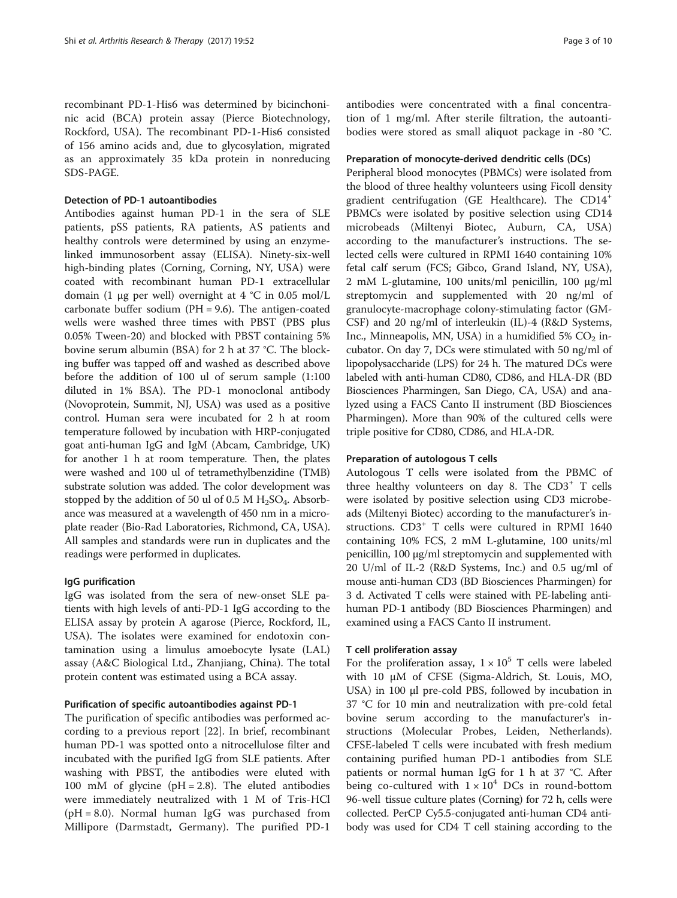recombinant PD-1-His6 was determined by bicinchoninic acid (BCA) protein assay (Pierce Biotechnology, Rockford, USA). The recombinant PD-1-His6 consisted of 156 amino acids and, due to glycosylation, migrated as an approximately 35 kDa protein in nonreducing SDS-PAGE.

#### Detection of PD-1 autoantibodies

Antibodies against human PD-1 in the sera of SLE patients, pSS patients, RA patients, AS patients and healthy controls were determined by using an enzymelinked immunosorbent assay (ELISA). Ninety-six-well high-binding plates (Corning, Corning, NY, USA) were coated with recombinant human PD-1 extracellular domain (1 μg per well) overnight at 4 °C in 0.05 mol/L carbonate buffer sodium (PH = 9.6). The antigen-coated wells were washed three times with PBST (PBS plus 0.05% Tween-20) and blocked with PBST containing 5% bovine serum albumin (BSA) for 2 h at 37 °C. The blocking buffer was tapped off and washed as described above before the addition of 100 ul of serum sample (1:100 diluted in 1% BSA). The PD-1 monoclonal antibody (Novoprotein, Summit, NJ, USA) was used as a positive control. Human sera were incubated for 2 h at room temperature followed by incubation with HRP-conjugated goat anti-human IgG and IgM (Abcam, Cambridge, UK) for another 1 h at room temperature. Then, the plates were washed and 100 ul of tetramethylbenzidine (TMB) substrate solution was added. The color development was stopped by the addition of 50 ul of 0.5 M  $H_2SO_4$ . Absorbance was measured at a wavelength of 450 nm in a microplate reader (Bio-Rad Laboratories, Richmond, CA, USA). All samples and standards were run in duplicates and the readings were performed in duplicates.

#### IgG purification

IgG was isolated from the sera of new-onset SLE patients with high levels of anti-PD-1 IgG according to the ELISA assay by protein A agarose (Pierce, Rockford, IL, USA). The isolates were examined for endotoxin contamination using a limulus amoebocyte lysate (LAL) assay (A&C Biological Ltd., Zhanjiang, China). The total protein content was estimated using a BCA assay.

#### Purification of specific autoantibodies against PD-1

The purification of specific antibodies was performed according to a previous report [[22](#page-8-0)]. In brief, recombinant human PD-1 was spotted onto a nitrocellulose filter and incubated with the purified IgG from SLE patients. After washing with PBST, the antibodies were eluted with 100 mM of glycine ( $pH = 2.8$ ). The eluted antibodies were immediately neutralized with 1 M of Tris-HCl  $(pH = 8.0)$ . Normal human IgG was purchased from Millipore (Darmstadt, Germany). The purified PD-1

antibodies were concentrated with a final concentration of 1 mg/ml. After sterile filtration, the autoantibodies were stored as small aliquot package in -80 °C.

#### Preparation of monocyte-derived dendritic cells (DCs)

Peripheral blood monocytes (PBMCs) were isolated from the blood of three healthy volunteers using Ficoll density gradient centrifugation (GE Healthcare). The CD14<sup>+</sup> PBMCs were isolated by positive selection using CD14 microbeads (Miltenyi Biotec, Auburn, CA, USA) according to the manufacturer's instructions. The selected cells were cultured in RPMI 1640 containing 10% fetal calf serum (FCS; Gibco, Grand Island, NY, USA), 2 mM L-glutamine, 100 units/ml penicillin, 100 μg/ml streptomycin and supplemented with 20 ng/ml of granulocyte-macrophage colony-stimulating factor (GM-CSF) and 20 ng/ml of interleukin (IL)-4 (R&D Systems, Inc., Minneapolis, MN, USA) in a humidified  $5\%$  CO<sub>2</sub> incubator. On day 7, DCs were stimulated with 50 ng/ml of lipopolysaccharide (LPS) for 24 h. The matured DCs were labeled with anti-human CD80, CD86, and HLA-DR (BD Biosciences Pharmingen, San Diego, CA, USA) and analyzed using a FACS Canto II instrument (BD Biosciences Pharmingen). More than 90% of the cultured cells were triple positive for CD80, CD86, and HLA-DR.

#### Preparation of autologous T cells

Autologous T cells were isolated from the PBMC of three healthy volunteers on day 8. The  $CD3^+$  T cells were isolated by positive selection using CD3 microbeads (Miltenyi Biotec) according to the manufacturer's instructions. CD3<sup>+</sup> T cells were cultured in RPMI 1640 containing 10% FCS, 2 mM L-glutamine, 100 units/ml penicillin, 100 μg/ml streptomycin and supplemented with 20 U/ml of IL-2 (R&D Systems, Inc.) and 0.5 ug/ml of mouse anti-human CD3 (BD Biosciences Pharmingen) for 3 d. Activated T cells were stained with PE-labeling antihuman PD-1 antibody (BD Biosciences Pharmingen) and examined using a FACS Canto II instrument.

#### T cell proliferation assay

For the proliferation assay,  $1 \times 10^5$  T cells were labeled with 10 μM of CFSE (Sigma-Aldrich, St. Louis, MO, USA) in 100 μl pre-cold PBS, followed by incubation in 37 °C for 10 min and neutralization with pre-cold fetal bovine serum according to the manufacturer's instructions (Molecular Probes, Leiden, Netherlands). CFSE-labeled T cells were incubated with fresh medium containing purified human PD-1 antibodies from SLE patients or normal human IgG for 1 h at 37 °C. After being co-cultured with  $1 \times 10^4$  DCs in round-bottom 96-well tissue culture plates (Corning) for 72 h, cells were collected. PerCP Cy5.5-conjugated anti-human CD4 antibody was used for CD4 T cell staining according to the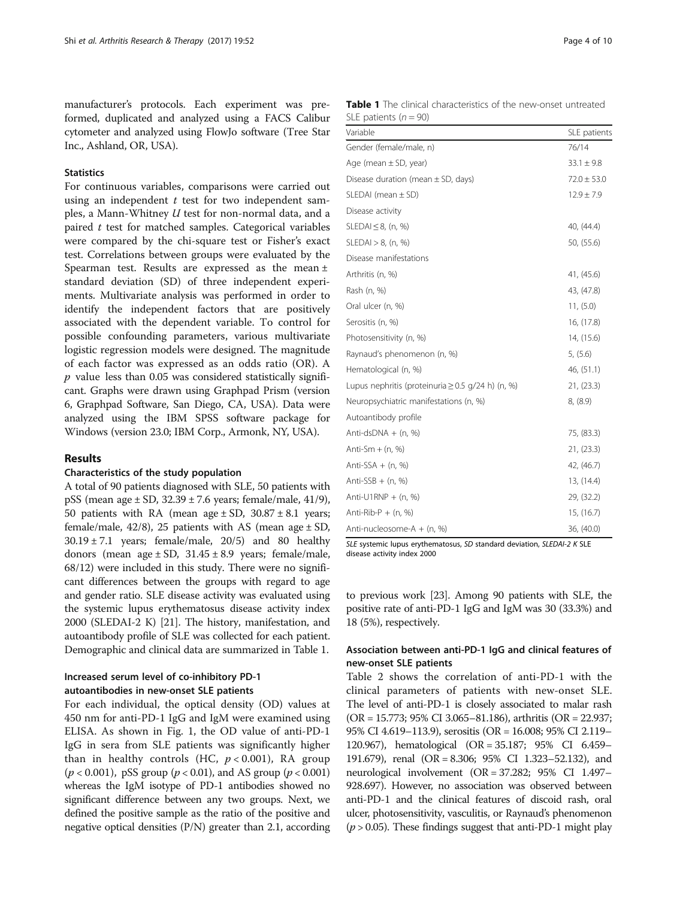<span id="page-3-0"></span>manufacturer's protocols. Each experiment was preformed, duplicated and analyzed using a FACS Calibur cytometer and analyzed using FlowJo software (Tree Star Inc., Ashland, OR, USA).

#### **Statistics**

For continuous variables, comparisons were carried out using an independent  $t$  test for two independent samples, a Mann-Whitney U test for non-normal data, and a paired  $t$  test for matched samples. Categorical variables were compared by the chi-square test or Fisher's exact test. Correlations between groups were evaluated by the Spearman test. Results are expressed as the mean ± standard deviation (SD) of three independent experiments. Multivariate analysis was performed in order to identify the independent factors that are positively associated with the dependent variable. To control for possible confounding parameters, various multivariate logistic regression models were designed. The magnitude of each factor was expressed as an odds ratio (OR). A  $p$  value less than 0.05 was considered statistically significant. Graphs were drawn using Graphpad Prism (version 6, Graphpad Software, San Diego, CA, USA). Data were analyzed using the IBM SPSS software package for Windows (version 23.0; IBM Corp., Armonk, NY, USA).

#### Results

#### Characteristics of the study population

A total of 90 patients diagnosed with SLE, 50 patients with pSS (mean age  $\pm$  SD, 32.39  $\pm$  7.6 years; female/male, 41/9), 50 patients with RA (mean age  $\pm$  SD, 30.87  $\pm$  8.1 years; female/male, 42/8), 25 patients with AS (mean age  $\pm$  SD,  $30.19 \pm 7.1$  years; female/male,  $20/5$ ) and 80 healthy donors (mean age  $\pm$  SD, 31.45  $\pm$  8.9 years; female/male, 68/12) were included in this study. There were no significant differences between the groups with regard to age and gender ratio. SLE disease activity was evaluated using the systemic lupus erythematosus disease activity index 2000 (SLEDAI-2 K) [\[21\]](#page-8-0). The history, manifestation, and autoantibody profile of SLE was collected for each patient. Demographic and clinical data are summarized in Table 1.

## Increased serum level of co-inhibitory PD-1 autoantibodies in new-onset SLE patients

For each individual, the optical density (OD) values at 450 nm for anti-PD-1 IgG and IgM were examined using ELISA. As shown in Fig. [1](#page-4-0), the OD value of anti-PD-1 IgG in sera from SLE patients was significantly higher than in healthy controls (HC,  $p < 0.001$ ), RA group ( $p < 0.001$ ), pSS group ( $p < 0.01$ ), and AS group ( $p < 0.001$ ) whereas the IgM isotype of PD-1 antibodies showed no significant difference between any two groups. Next, we defined the positive sample as the ratio of the positive and negative optical densities  $(P/N)$  greater than 2.1, according

| <b>Table 1</b> The clinical characteristics of the new-onset untreated |  |
|------------------------------------------------------------------------|--|
| SLE patients $(n = 90)$                                                |  |
| .                                                                      |  |

| Variable                                               | SLE patients    |
|--------------------------------------------------------|-----------------|
| Gender (female/male, n)                                | 76/14           |
| Age (mean $\pm$ SD, year)                              | $33.1 \pm 9.8$  |
| Disease duration (mean $\pm$ SD, days)                 | $72.0 \pm 53.0$ |
| SLEDAI (mean $\pm$ SD)                                 | $12.9 \pm 7.9$  |
| Disease activity                                       |                 |
| SLEDAI $\leq$ 8, (n, %)                                | 40, (44.4)      |
| SLEDAI > 8, (n, %)                                     | 50, (55.6)      |
| Disease manifestations                                 |                 |
| Arthritis (n, %)                                       | 41, (45.6)      |
| Rash (n, %)                                            | 43, (47.8)      |
| Oral ulcer (n, %)                                      | 11, (5.0)       |
| Serositis (n, %)                                       | 16, (17.8)      |
| Photosensitivity (n, %)                                | 14, (15.6)      |
| Raynaud's phenomenon (n, %)                            | 5, (5.6)        |
| Hematological (n, %)                                   | 46, (51.1)      |
| Lupus nephritis (proteinuria $\geq$ 0.5 g/24 h) (n, %) | 21, (23.3)      |
| Neuropsychiatric manifestations (n, %)                 | 8, (8.9)        |
| Autoantibody profile                                   |                 |
| Anti-dsDNA $+$ (n, %)                                  | 75, (83.3)      |
| Anti-Sm $+$ (n, %)                                     | 21, (23.3)      |
| Anti-SSA $+$ (n, %)                                    | 42, (46.7)      |
| Anti-SSB $+$ (n, %)                                    | 13, (14.4)      |
| Anti-U1RNP + $(n, %)$                                  | 29, (32.2)      |
| Anti-Rib-P $+$ (n, %)                                  | 15, (16.7)      |
| Anti-nucleosome-A + (n, %)                             | 36, (40.0)      |

SLE systemic lupus erythematosus, SD standard deviation, SLEDAI-2 K SLE disease activity index 2000

to previous work [\[23](#page-8-0)]. Among 90 patients with SLE, the positive rate of anti-PD-1 IgG and IgM was 30 (33.3%) and 18 (5%), respectively.

## Association between anti-PD-1 IgG and clinical features of new-onset SLE patients

Table [2](#page-4-0) shows the correlation of anti-PD-1 with the clinical parameters of patients with new-onset SLE. The level of anti-PD-1 is closely associated to malar rash (OR = 15.773; 95% CI 3.065–81.186), arthritis (OR = 22.937; 95% CI 4.619–113.9), serositis (OR = 16.008; 95% CI 2.119– 120.967), hematological (OR = 35.187; 95% CI 6.459– 191.679), renal (OR = 8.306; 95% CI 1.323–52.132), and neurological involvement (OR = 37.282; 95% CI 1.497– 928.697). However, no association was observed between anti-PD-1 and the clinical features of discoid rash, oral ulcer, photosensitivity, vasculitis, or Raynaud's phenomenon  $(p > 0.05)$ . These findings suggest that anti-PD-1 might play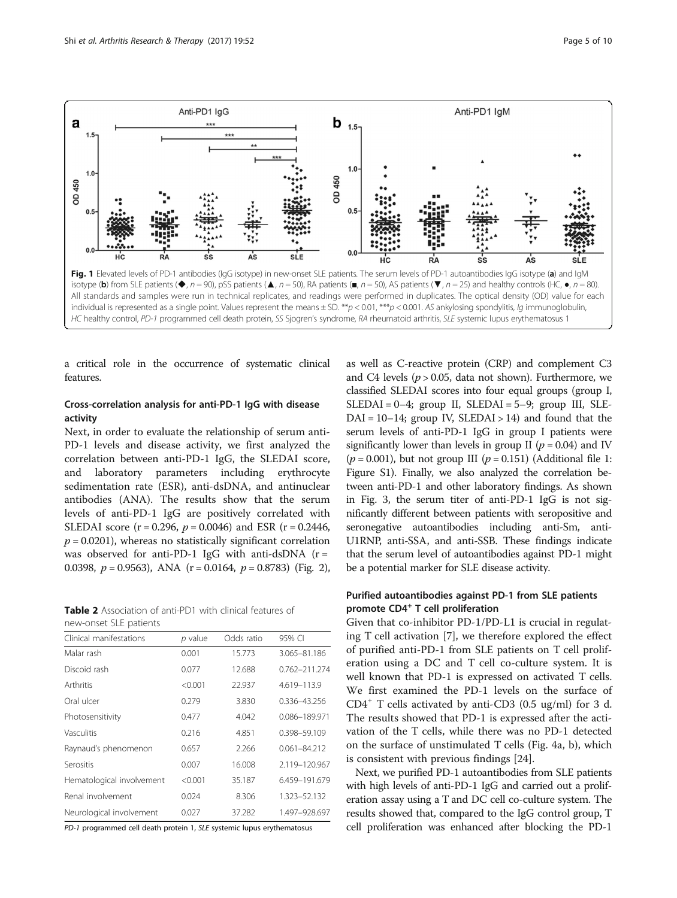<span id="page-4-0"></span>

a critical role in the occurrence of systematic clinical features.

## Cross-correlation analysis for anti-PD-1 IgG with disease activity

Next, in order to evaluate the relationship of serum anti-PD-1 levels and disease activity, we first analyzed the correlation between anti-PD-1 IgG, the SLEDAI score, and laboratory parameters including erythrocyte sedimentation rate (ESR), anti-dsDNA, and antinuclear antibodies (ANA). The results show that the serum levels of anti-PD-1 IgG are positively correlated with SLEDAI score ( $r = 0.296$ ,  $p = 0.0046$ ) and ESR ( $r = 0.2446$ ,  $p = 0.0201$ , whereas no statistically significant correlation was observed for anti-PD-1 IgG with anti-dsDNA  $(r =$ 0.0398,  $p = 0.9563$ ), ANA (r = 0.0164,  $p = 0.8783$ ) (Fig. [2](#page-5-0)),

| <b>Table 2</b> Association of anti-PD1 with clinical features of |  |  |  |
|------------------------------------------------------------------|--|--|--|
| new-onset SLE patients                                           |  |  |  |

| Clinical manifestations   | p value | Odds ratio | 95% CI           |
|---------------------------|---------|------------|------------------|
| Malar rash                | 0.001   | 15.773     | 3.065-81.186     |
| Discoid rash              | 0.077   | 12.688     | 0.762-211.274    |
| Arthritis                 | < 0.001 | 22.937     | 4.619-113.9      |
| Oral ulcer                | 0.279   | 3.830      | 0.336-43.256     |
| Photosensitivity          | 0.477   | 4.042      | 0.086-189.971    |
| Vasculitis                | 0.216   | 4.851      | 0.398-59.109     |
| Raynaud's phenomenon      | 0.657   | 2.266      | $0.061 - 84.212$ |
| Serositis                 | 0.007   | 16.008     | 2.119-120.967    |
| Hematological involvement | < 0.001 | 35.187     | 6.459-191.679    |
| Renal involvement         | 0.024   | 8.306      | 1.323-52.132     |
| Neurological involvement  | 0.027   | 37.282     | 1.497-928.697    |

PD-1 programmed cell death protein 1, SLE systemic lupus erythematosus

as well as C-reactive protein (CRP) and complement C3 and C4 levels ( $p > 0.05$ , data not shown). Furthermore, we classified SLEDAI scores into four equal groups (group I,  $SLEDAI = 0-4$ ; group II,  $SLEDAI = 5-9$ ; group III,  $SLE DAI = 10-14$ ; group IV,  $SLEDAI > 14$ ) and found that the serum levels of anti-PD-1 IgG in group I patients were significantly lower than levels in group II ( $p = 0.04$ ) and IV  $(p = 0.001)$ , but not group III  $(p = 0.151)$  (Additional file [1](#page-7-0): Figure S1). Finally, we also analyzed the correlation between anti-PD-1 and other laboratory findings. As shown in Fig. [3,](#page-5-0) the serum titer of anti-PD-1 IgG is not significantly different between patients with seropositive and seronegative autoantibodies including anti-Sm, anti-U1RNP, anti-SSA, and anti-SSB. These findings indicate that the serum level of autoantibodies against PD-1 might be a potential marker for SLE disease activity.

## Purified autoantibodies against PD-1 from SLE patients promote CD4<sup>+</sup> T cell proliferation

Given that co-inhibitor PD-1/PD-L1 is crucial in regulating T cell activation [[7\]](#page-8-0), we therefore explored the effect of purified anti-PD-1 from SLE patients on T cell proliferation using a DC and T cell co-culture system. It is well known that PD-1 is expressed on activated T cells. We first examined the PD-1 levels on the surface of CD4<sup>+</sup> T cells activated by anti-CD3 (0.5 ug/ml) for 3 d. The results showed that PD-1 is expressed after the activation of the T cells, while there was no PD-1 detected on the surface of unstimulated T cells (Fig. [4a, b\)](#page-6-0), which is consistent with previous findings [\[24](#page-8-0)].

Next, we purified PD-1 autoantibodies from SLE patients with high levels of anti-PD-1 IgG and carried out a proliferation assay using a T and DC cell co-culture system. The results showed that, compared to the IgG control group, T cell proliferation was enhanced after blocking the PD-1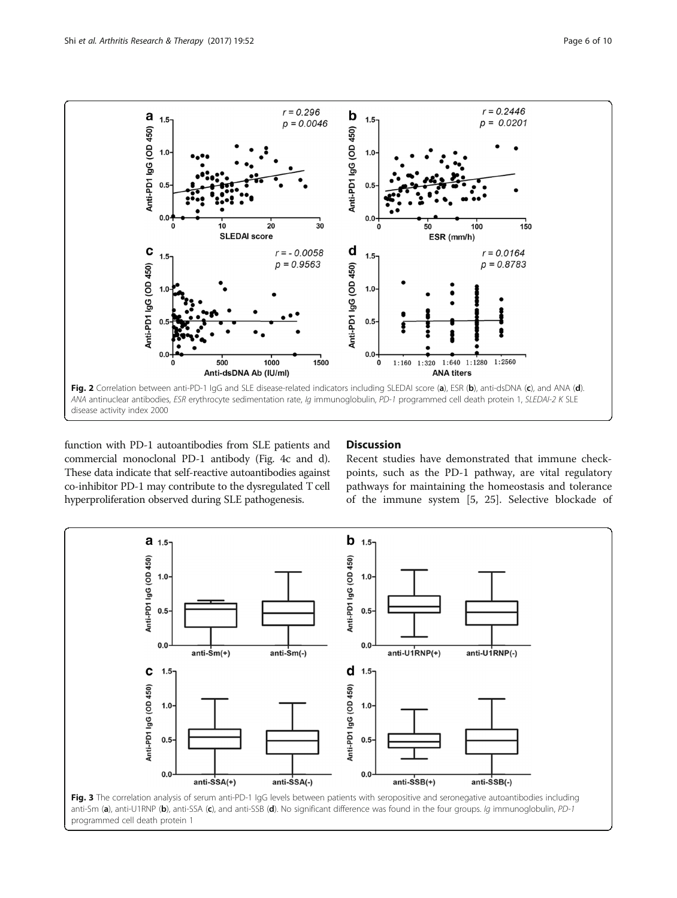<span id="page-5-0"></span>

function with PD-1 autoantibodies from SLE patients and commercial monoclonal PD-1 antibody (Fig. [4c](#page-6-0) and [d](#page-6-0)). These data indicate that self-reactive autoantibodies against co-inhibitor PD-1 may contribute to the dysregulated T cell hyperproliferation observed during SLE pathogenesis.

## **Discussion**

Recent studies have demonstrated that immune checkpoints, such as the PD-1 pathway, are vital regulatory pathways for maintaining the homeostasis and tolerance of the immune system [[5, 25](#page-8-0)]. Selective blockade of

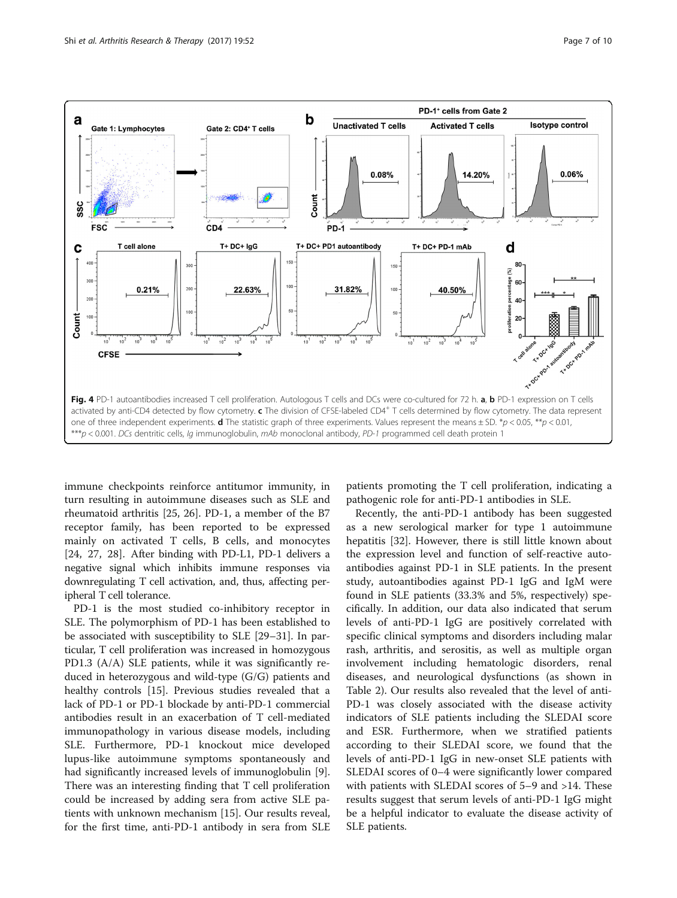<span id="page-6-0"></span>

immune checkpoints reinforce antitumor immunity, in turn resulting in autoimmune diseases such as SLE and rheumatoid arthritis [\[25](#page-8-0), [26\]](#page-8-0). PD-1, a member of the B7 receptor family, has been reported to be expressed mainly on activated T cells, B cells, and monocytes [[24, 27](#page-8-0), [28\]](#page-8-0). After binding with PD-L1, PD-1 delivers a negative signal which inhibits immune responses via downregulating T cell activation, and, thus, affecting peripheral T cell tolerance.

PD-1 is the most studied co-inhibitory receptor in SLE. The polymorphism of PD-1 has been established to be associated with susceptibility to SLE [\[29](#page-8-0)–[31\]](#page-8-0). In particular, T cell proliferation was increased in homozygous PD1.3 (A/A) SLE patients, while it was significantly reduced in heterozygous and wild-type (G/G) patients and healthy controls [[15\]](#page-8-0). Previous studies revealed that a lack of PD-1 or PD-1 blockade by anti-PD-1 commercial antibodies result in an exacerbation of T cell-mediated immunopathology in various disease models, including SLE. Furthermore, PD-1 knockout mice developed lupus-like autoimmune symptoms spontaneously and had significantly increased levels of immunoglobulin [\[9](#page-8-0)]. There was an interesting finding that T cell proliferation could be increased by adding sera from active SLE patients with unknown mechanism [\[15\]](#page-8-0). Our results reveal, for the first time, anti-PD-1 antibody in sera from SLE patients promoting the T cell proliferation, indicating a pathogenic role for anti-PD-1 antibodies in SLE.

Recently, the anti-PD-1 antibody has been suggested as a new serological marker for type 1 autoimmune hepatitis [\[32](#page-8-0)]. However, there is still little known about the expression level and function of self-reactive autoantibodies against PD-1 in SLE patients. In the present study, autoantibodies against PD-1 IgG and IgM were found in SLE patients (33.3% and 5%, respectively) specifically. In addition, our data also indicated that serum levels of anti-PD-1 IgG are positively correlated with specific clinical symptoms and disorders including malar rash, arthritis, and serositis, as well as multiple organ involvement including hematologic disorders, renal diseases, and neurological dysfunctions (as shown in Table [2](#page-4-0)). Our results also revealed that the level of anti-PD-1 was closely associated with the disease activity indicators of SLE patients including the SLEDAI score and ESR. Furthermore, when we stratified patients according to their SLEDAI score, we found that the levels of anti-PD-1 IgG in new-onset SLE patients with SLEDAI scores of 0–4 were significantly lower compared with patients with SLEDAI scores of 5–9 and >14. These results suggest that serum levels of anti-PD-1 IgG might be a helpful indicator to evaluate the disease activity of SLE patients.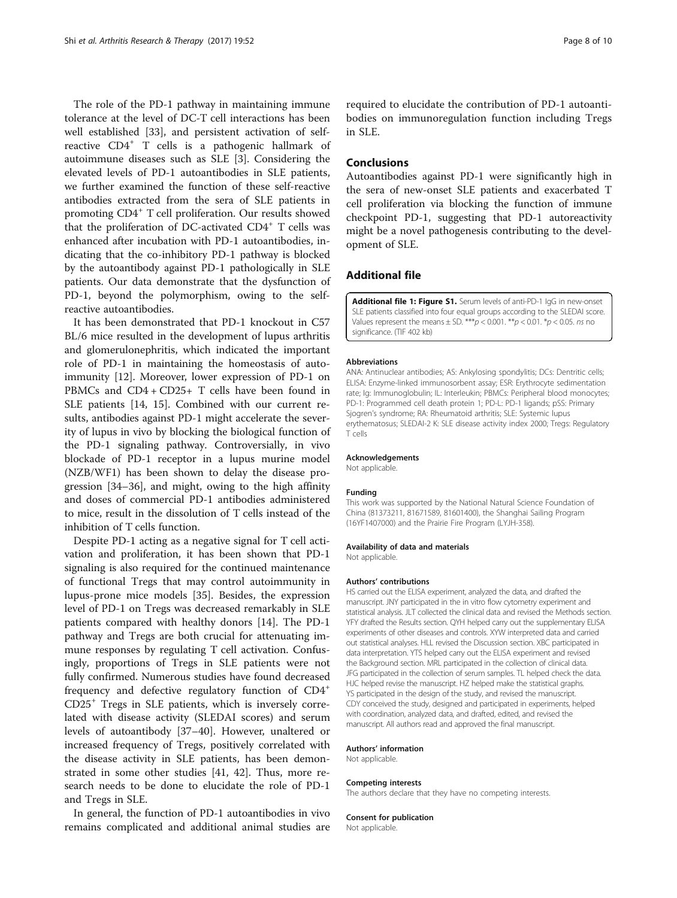<span id="page-7-0"></span>The role of the PD-1 pathway in maintaining immune tolerance at the level of DC-T cell interactions has been well established [[33\]](#page-8-0), and persistent activation of selfreactive CD4<sup>+</sup> T cells is a pathogenic hallmark of autoimmune diseases such as SLE [\[3](#page-8-0)]. Considering the elevated levels of PD-1 autoantibodies in SLE patients, we further examined the function of these self-reactive antibodies extracted from the sera of SLE patients in promoting CD4<sup>+</sup> T cell proliferation. Our results showed that the proliferation of DC-activated  $CD4^+$  T cells was enhanced after incubation with PD-1 autoantibodies, indicating that the co-inhibitory PD-1 pathway is blocked by the autoantibody against PD-1 pathologically in SLE patients. Our data demonstrate that the dysfunction of PD-1, beyond the polymorphism, owing to the selfreactive autoantibodies.

It has been demonstrated that PD-1 knockout in C57 BL/6 mice resulted in the development of lupus arthritis and glomerulonephritis, which indicated the important role of PD-1 in maintaining the homeostasis of autoimmunity [[12\]](#page-8-0). Moreover, lower expression of PD-1 on PBMCs and CD4 + CD25+ T cells have been found in SLE patients [[14, 15\]](#page-8-0). Combined with our current results, antibodies against PD-1 might accelerate the severity of lupus in vivo by blocking the biological function of the PD-1 signaling pathway. Controversially, in vivo blockade of PD-1 receptor in a lupus murine model (NZB/WF1) has been shown to delay the disease progression [\[34](#page-8-0)–[36](#page-8-0)], and might, owing to the high affinity and doses of commercial PD-1 antibodies administered to mice, result in the dissolution of T cells instead of the inhibition of T cells function.

Despite PD-1 acting as a negative signal for T cell activation and proliferation, it has been shown that PD-1 signaling is also required for the continued maintenance of functional Tregs that may control autoimmunity in lupus-prone mice models [[35](#page-8-0)]. Besides, the expression level of PD-1 on Tregs was decreased remarkably in SLE patients compared with healthy donors [[14](#page-8-0)]. The PD-1 pathway and Tregs are both crucial for attenuating immune responses by regulating T cell activation. Confusingly, proportions of Tregs in SLE patients were not fully confirmed. Numerous studies have found decreased frequency and defective regulatory function of CD4<sup>+</sup> CD25<sup>+</sup> Tregs in SLE patients, which is inversely correlated with disease activity (SLEDAI scores) and serum levels of autoantibody [[37](#page-8-0)–[40](#page-9-0)]. However, unaltered or increased frequency of Tregs, positively correlated with the disease activity in SLE patients, has been demonstrated in some other studies [\[41](#page-9-0), [42\]](#page-9-0). Thus, more research needs to be done to elucidate the role of PD-1 and Tregs in SLE.

In general, the function of PD-1 autoantibodies in vivo remains complicated and additional animal studies are

required to elucidate the contribution of PD-1 autoantibodies on immunoregulation function including Tregs in SLE.

#### Conclusions

Autoantibodies against PD-1 were significantly high in the sera of new-onset SLE patients and exacerbated T cell proliferation via blocking the function of immune checkpoint PD-1, suggesting that PD-1 autoreactivity might be a novel pathogenesis contributing to the development of SLE.

#### Additional file

[Additional file 1: Figure S1.](dx.doi.org/10.1186/s13075-017-1258-4) Serum levels of anti-PD-1 IgG in new-onset SLE patients classified into four equal groups according to the SLEDAI score. Values represent the means  $\pm$  SD. \*\*\*  $p$  < 0.001. \*\*  $p$  < 0.01. \* $p$  < 0.05. ns no significance. (TIF 402 kb)

#### Abbreviations

ANA: Antinuclear antibodies; AS: Ankylosing spondylitis; DCs: Dentritic cells; ELISA: Enzyme-linked immunosorbent assay; ESR: Erythrocyte sedimentation rate; Ig: Immunoglobulin; IL: Interleukin; PBMCs: Peripheral blood monocytes; PD-1: Programmed cell death protein 1; PD-L: PD-1 ligands; pSS: Primary Sjogren's syndrome; RA: Rheumatoid arthritis; SLE: Systemic lupus erythematosus; SLEDAI-2 K: SLE disease activity index 2000; Tregs: Regulatory T cells

#### Acknowledgements

Not applicable.

#### Funding

This work was supported by the National Natural Science Foundation of China (81373211, 81671589, 81601400), the Shanghai Sailing Program (16YF1407000) and the Prairie Fire Program (LYJH-358).

#### Availability of data and materials

Not applicable.

#### Authors' contributions

HS carried out the ELISA experiment, analyzed the data, and drafted the manuscript. JNY participated in the in vitro flow cytometry experiment and statistical analysis. JLT collected the clinical data and revised the [Methods](#page-1-0) section. YFY drafted the [Results](#page-3-0) section. QYH helped carry out the supplementary ELISA experiments of other diseases and controls. XYW interpreted data and carried out statistical analyses. HLL revised the [Discussion](#page-5-0) section. XBC participated in data interpretation. YTS helped carry out the ELISA experiment and revised the [Background](#page-1-0) section. MRL participated in the collection of clinical data. JFG participated in the collection of serum samples. TL helped check the data. HJC helped revise the manuscript. HZ helped make the statistical graphs. YS participated in the design of the study, and revised the manuscript. CDY conceived the study, designed and participated in experiments, helped with coordination, analyzed data, and drafted, edited, and revised the manuscript. All authors read and approved the final manuscript.

#### Authors' information

Not applicable.

#### Competing interests

The authors declare that they have no competing interests.

#### Consent for publication

Not applicable.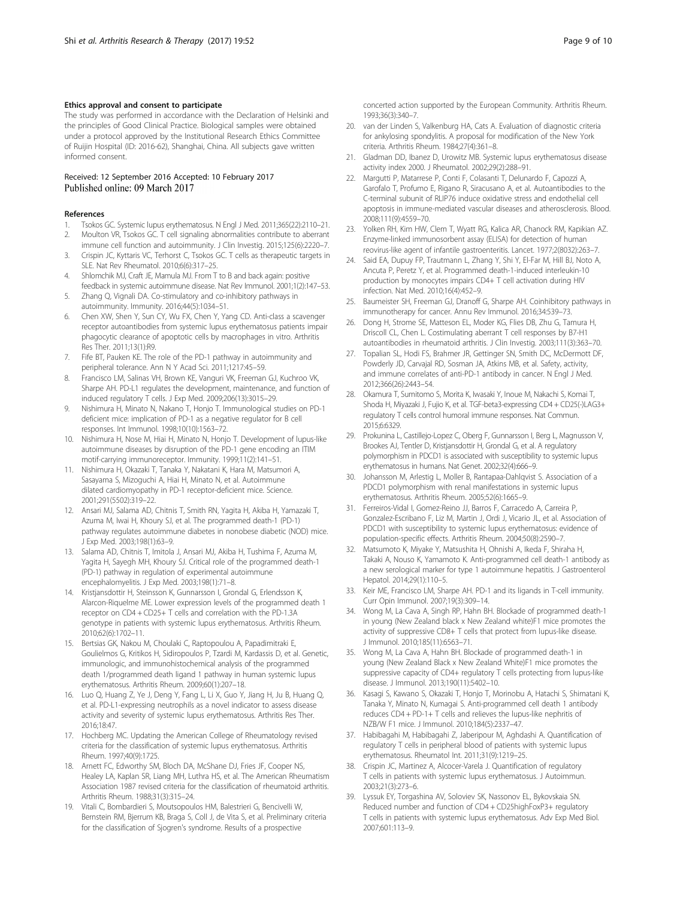#### <span id="page-8-0"></span>Ethics approval and consent to participate

The study was performed in accordance with the Declaration of Helsinki and the principles of Good Clinical Practice. Biological samples were obtained under a protocol approved by the Institutional Research Ethics Committee of Ruijin Hospital (ID: 2016-62), Shanghai, China. All subjects gave written informed consent.

#### Received: 12 September 2016 Accepted: 10 February 2017 Published online: 09 March 2017

#### References

- 1. Tsokos GC. Systemic lupus erythematosus. N Engl J Med. 2011;365(22):2110–21. 2. Moulton VR, Tsokos GC. T cell signaling abnormalities contribute to aberrant
- immune cell function and autoimmunity. J Clin Investig. 2015;125(6):2220–7. 3. Crispin JC, Kyttaris VC, Terhorst C, Tsokos GC. T cells as therapeutic targets in
- SLE. Nat Rev Rheumatol. 2010;6(6):317–25. 4. Shlomchik MJ, Craft JE, Mamula MJ. From T to B and back again: positive
- feedback in systemic autoimmune disease. Nat Rev Immunol. 2001;1(2):147–53. 5. Zhang Q, Vignali DA. Co-stimulatory and co-inhibitory pathways in
- autoimmunity. Immunity. 2016;44(5):1034–51.
- 6. Chen XW, Shen Y, Sun CY, Wu FX, Chen Y, Yang CD. Anti-class a scavenger receptor autoantibodies from systemic lupus erythematosus patients impair phagocytic clearance of apoptotic cells by macrophages in vitro. Arthritis Res Ther. 2011;13(1):R9.
- 7. Fife BT, Pauken KE. The role of the PD-1 pathway in autoimmunity and peripheral tolerance. Ann N Y Acad Sci. 2011;1217:45–59.
- 8. Francisco LM, Salinas VH, Brown KE, Vanguri VK, Freeman GJ, Kuchroo VK, Sharpe AH. PD-L1 regulates the development, maintenance, and function of induced regulatory T cells. J Exp Med. 2009;206(13):3015–29.
- 9. Nishimura H, Minato N, Nakano T, Honjo T. Immunological studies on PD-1 deficient mice: implication of PD-1 as a negative regulator for B cell responses. Int Immunol. 1998;10(10):1563–72.
- 10. Nishimura H, Nose M, Hiai H, Minato N, Honjo T. Development of lupus-like autoimmune diseases by disruption of the PD-1 gene encoding an ITIM motif-carrying immunoreceptor. Immunity. 1999;11(2):141–51.
- 11. Nishimura H, Okazaki T, Tanaka Y, Nakatani K, Hara M, Matsumori A, Sasayama S, Mizoguchi A, Hiai H, Minato N, et al. Autoimmune dilated cardiomyopathy in PD-1 receptor-deficient mice. Science. 2001;291(5502):319–22.
- 12. Ansari MJ, Salama AD, Chitnis T, Smith RN, Yagita H, Akiba H, Yamazaki T, Azuma M, Iwai H, Khoury SJ, et al. The programmed death-1 (PD-1) pathway regulates autoimmune diabetes in nonobese diabetic (NOD) mice. J Exp Med. 2003;198(1):63–9.
- 13. Salama AD, Chitnis T, Imitola J, Ansari MJ, Akiba H, Tushima F, Azuma M, Yagita H, Sayegh MH, Khoury SJ. Critical role of the programmed death-1 (PD-1) pathway in regulation of experimental autoimmune encephalomyelitis. J Exp Med. 2003;198(1):71–8.
- 14. Kristjansdottir H, Steinsson K, Gunnarsson I, Grondal G, Erlendsson K, Alarcon-Riquelme ME. Lower expression levels of the programmed death 1 receptor on CD4 + CD25+ T cells and correlation with the PD-1.3A genotype in patients with systemic lupus erythematosus. Arthritis Rheum. 2010;62(6):1702–11.
- 15. Bertsias GK, Nakou M, Choulaki C, Raptopoulou A, Papadimitraki E, Goulielmos G, Kritikos H, Sidiropoulos P, Tzardi M, Kardassis D, et al. Genetic, immunologic, and immunohistochemical analysis of the programmed death 1/programmed death ligand 1 pathway in human systemic lupus erythematosus. Arthritis Rheum. 2009;60(1):207–18.
- 16. Luo Q, Huang Z, Ye J, Deng Y, Fang L, Li X, Guo Y, Jiang H, Ju B, Huang Q, et al. PD-L1-expressing neutrophils as a novel indicator to assess disease activity and severity of systemic lupus erythematosus. Arthritis Res Ther. 2016;18:47.
- 17. Hochberg MC. Updating the American College of Rheumatology revised criteria for the classification of systemic lupus erythematosus. Arthritis Rheum. 1997;40(9):1725.
- 18. Arnett FC, Edworthy SM, Bloch DA, McShane DJ, Fries JF, Cooper NS, Healey LA, Kaplan SR, Liang MH, Luthra HS, et al. The American Rheumatism Association 1987 revised criteria for the classification of rheumatoid arthritis. Arthritis Rheum. 1988;31(3):315–24.
- 19. Vitali C, Bombardieri S, Moutsopoulos HM, Balestrieri G, Bencivelli W, Bernstein RM, Bjerrum KB, Braga S, Coll J, de Vita S, et al. Preliminary criteria for the classification of Sjogren's syndrome. Results of a prospective

concerted action supported by the European Community. Arthritis Rheum. 1993;36(3):340–7.

- 20. van der Linden S, Valkenburg HA, Cats A. Evaluation of diagnostic criteria for ankylosing spondylitis. A proposal for modification of the New York criteria. Arthritis Rheum. 1984;27(4):361–8.
- 21. Gladman DD, Ibanez D, Urowitz MB. Systemic lupus erythematosus disease activity index 2000. J Rheumatol. 2002;29(2):288–91.
- 22. Margutti P, Matarrese P, Conti F, Colasanti T, Delunardo F, Capozzi A, Garofalo T, Profumo E, Rigano R, Siracusano A, et al. Autoantibodies to the C-terminal subunit of RLIP76 induce oxidative stress and endothelial cell apoptosis in immune-mediated vascular diseases and atherosclerosis. Blood. 2008;111(9):4559–70.
- 23. Yolken RH, Kim HW, Clem T, Wyatt RG, Kalica AR, Chanock RM, Kapikian AZ. Enzyme-linked immunosorbent assay (ELISA) for detection of human reovirus-like agent of infantile gastroenteritis. Lancet. 1977;2(8032):263–7.
- 24. Said EA, Dupuy FP, Trautmann L, Zhang Y, Shi Y, El-Far M, Hill BJ, Noto A, Ancuta P, Peretz Y, et al. Programmed death-1-induced interleukin-10 production by monocytes impairs CD4+ T cell activation during HIV infection. Nat Med. 2010;16(4):452–9.
- 25. Baumeister SH, Freeman GJ, Dranoff G, Sharpe AH. Coinhibitory pathways in immunotherapy for cancer. Annu Rev Immunol. 2016;34:539–73.
- 26. Dong H, Strome SE, Matteson EL, Moder KG, Flies DB, Zhu G, Tamura H, Driscoll CL, Chen L. Costimulating aberrant T cell responses by B7-H1 autoantibodies in rheumatoid arthritis. J Clin Investig. 2003;111(3):363–70.
- 27. Topalian SL, Hodi FS, Brahmer JR, Gettinger SN, Smith DC, McDermott DF, Powderly JD, Carvajal RD, Sosman JA, Atkins MB, et al. Safety, activity, and immune correlates of anti-PD-1 antibody in cancer. N Engl J Med. 2012;366(26):2443–54.
- 28. Okamura T, Sumitomo S, Morita K, Iwasaki Y, Inoue M, Nakachi S, Komai T, Shoda H, Miyazaki J, Fujio K, et al. TGF-beta3-expressing CD4 + CD25(-)LAG3+ regulatory T cells control humoral immune responses. Nat Commun. 2015;6:6329.
- 29. Prokunina L, Castillejo-Lopez C, Oberg F, Gunnarsson I, Berg L, Magnusson V, Brookes AJ, Tentler D, Kristjansdottir H, Grondal G, et al. A regulatory polymorphism in PDCD1 is associated with susceptibility to systemic lupus erythematosus in humans. Nat Genet. 2002;32(4):666–9.
- 30. Johansson M, Arlestig L, Moller B, Rantapaa-Dahlqvist S. Association of a PDCD1 polymorphism with renal manifestations in systemic lupus erythematosus. Arthritis Rheum. 2005;52(6):1665–9.
- 31. Ferreiros-Vidal I, Gomez-Reino JJ, Barros F, Carracedo A, Carreira P, Gonzalez-Escribano F, Liz M, Martin J, Ordi J, Vicario JL, et al. Association of PDCD1 with susceptibility to systemic lupus erythematosus: evidence of population-specific effects. Arthritis Rheum. 2004;50(8):2590–7.
- 32. Matsumoto K, Miyake Y, Matsushita H, Ohnishi A, Ikeda F, Shiraha H, Takaki A, Nouso K, Yamamoto K. Anti-programmed cell death-1 antibody as a new serological marker for type 1 autoimmune hepatitis. J Gastroenterol Hepatol. 2014;29(1):110–5.
- 33. Keir ME, Francisco LM, Sharpe AH. PD-1 and its ligands in T-cell immunity. Curr Opin Immunol. 2007;19(3):309–14.
- 34. Wong M, La Cava A, Singh RP, Hahn BH. Blockade of programmed death-1 in young (New Zealand black x New Zealand white)F1 mice promotes the activity of suppressive CD8+ T cells that protect from lupus-like disease. J Immunol. 2010;185(11):6563–71.
- 35. Wong M, La Cava A, Hahn BH. Blockade of programmed death-1 in young (New Zealand Black x New Zealand White)F1 mice promotes the suppressive capacity of CD4+ regulatory T cells protecting from lupus-like disease. J Immunol. 2013;190(11):5402–10.
- 36. Kasagi S, Kawano S, Okazaki T, Honjo T, Morinobu A, Hatachi S, Shimatani K, Tanaka Y, Minato N, Kumagai S. Anti-programmed cell death 1 antibody reduces CD4 + PD-1+ T cells and relieves the lupus-like nephritis of NZB/W F1 mice. J Immunol. 2010;184(5):2337–47.
- 37. Habibagahi M, Habibagahi Z, Jaberipour M, Aghdashi A. Quantification of regulatory T cells in peripheral blood of patients with systemic lupus erythematosus. Rheumatol Int. 2011;31(9):1219–25.
- Crispin JC, Martinez A, Alcocer-Varela J. Quantification of regulatory T cells in patients with systemic lupus erythematosus. J Autoimmun. 2003;21(3):273–6.
- 39. Lyssuk EY, Torgashina AV, Soloviev SK, Nassonov EL, Bykovskaia SN. Reduced number and function of CD4 + CD25highFoxP3+ regulatory T cells in patients with systemic lupus erythematosus. Adv Exp Med Biol. 2007;601:113–9.